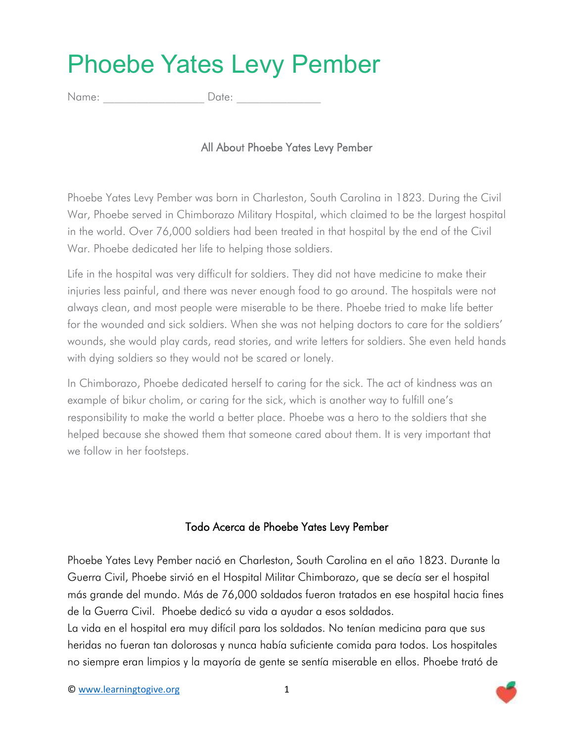## Phoebe Yates Levy Pember

Name:  $\Box$  Date:

## All About Phoebe Yates Levy Pember

Phoebe Yates Levy Pember was born in Charleston, South Carolina in 1823. During the Civil War, Phoebe served in Chimborazo Military Hospital, which claimed to be the largest hospital in the world. Over 76,000 soldiers had been treated in that hospital by the end of the Civil War. Phoebe dedicated her life to helping those soldiers.

Life in the hospital was very difficult for soldiers. They did not have medicine to make their injuries less painful, and there was never enough food to go around. The hospitals were not always clean, and most people were miserable to be there. Phoebe tried to make life better for the wounded and sick soldiers. When she was not helping doctors to care for the soldiers' wounds, she would play cards, read stories, and write letters for soldiers. She even held hands with dying soldiers so they would not be scared or lonely.

In Chimborazo, Phoebe dedicated herself to caring for the sick. The act of kindness was an example of bikur cholim, or caring for the sick, which is another way to fulfill one's responsibility to make the world a better place. Phoebe was a hero to the soldiers that she helped because she showed them that someone cared about them. It is very important that we follow in her footsteps.

## Todo Acerca de Phoebe Yates Levy Pember

Phoebe Yates Levy Pember nació en Charleston, South Carolina en el año 1823. Durante la Guerra Civil, Phoebe sirvió en el Hospital Militar Chimborazo, que se decía ser el hospital más grande del mundo. Más de 76,000 soldados fueron tratados en ese hospital hacia fines de la Guerra Civil. Phoebe dedicó su vida a ayudar a esos soldados.

La vida en el hospital era muy difícil para los soldados. No tenían medicina para que sus heridas no fueran tan dolorosas y nunca había suficiente comida para todos. Los hospitales no siempre eran limpios y la mayoría de gente se sentía miserable en ellos. Phoebe trató de